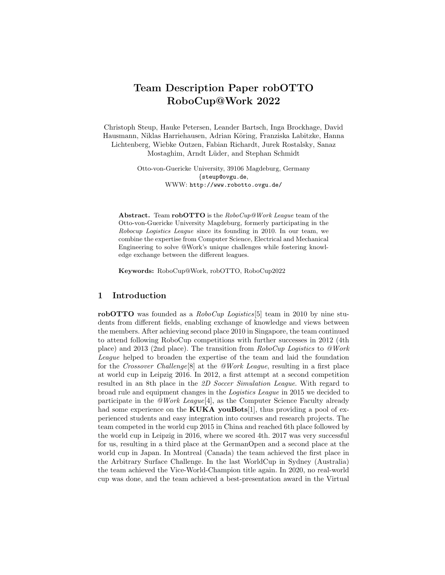# Team Description Paper robOTTO RoboCup@Work 2022

Christoph Steup, Hauke Petersen, Leander Bartsch, Inga Brockhage, David Hausmann, Niklas Harriehausen, Adrian Köring, Franziska Labitzke, Hanna Lichtenberg, Wiebke Outzen, Fabian Richardt, Jurek Rostalsky, Sanaz Mostaghim, Arndt Lüder, and Stephan Schmidt

> Otto-von-Guericke University, 39106 Magdeburg, Germany {steup@ovgu.de, WWW: http://www.robotto.ovgu.de/

Abstract. Team robOTTO is the RoboCup@Work League team of the Otto-von-Guericke University Magdeburg, formerly participating in the Robocup Logistics League since its founding in 2010. In our team, we combine the expertise from Computer Science, Electrical and Mechanical Engineering to solve @Work's unique challenges while fostering knowledge exchange between the different leagues.

Keywords: RoboCup@Work, robOTTO, RoboCup2022

# 1 Introduction

robOTTO was founded as a *RoboCup Logistics*[5] team in 2010 by nine students from different fields, enabling exchange of knowledge and views between the members. After achieving second place 2010 in Singapore, the team continued to attend following RoboCup competitions with further successes in 2012 (4th place) and 2013 (2nd place). The transition from RoboCup Logistics to @Work League helped to broaden the expertise of the team and laid the foundation for the Crossover Challenge[8] at the @Work League, resulting in a first place at world cup in Leipzig 2016. In 2012, a first attempt at a second competition resulted in an 8th place in the 2D Soccer Simulation League. With regard to broad rule and equipment changes in the Logistics League in 2015 we decided to participate in the  $\omega$ Work League<sup>[4]</sup>, as the Computer Science Faculty already had some experience on the **KUKA** youBots[1], thus providing a pool of experienced students and easy integration into courses and research projects. The team competed in the world cup 2015 in China and reached 6th place followed by the world cup in Leipzig in 2016, where we scored 4th. 2017 was very successful for us, resulting in a third place at the GermanOpen and a second place at the world cup in Japan. In Montreal (Canada) the team achieved the first place in the Arbitrary Surface Challenge. In the last WorldCup in Sydney (Australia) the team achieved the Vice-World-Champion title again. In 2020, no real-world cup was done, and the team achieved a best-presentation award in the Virtual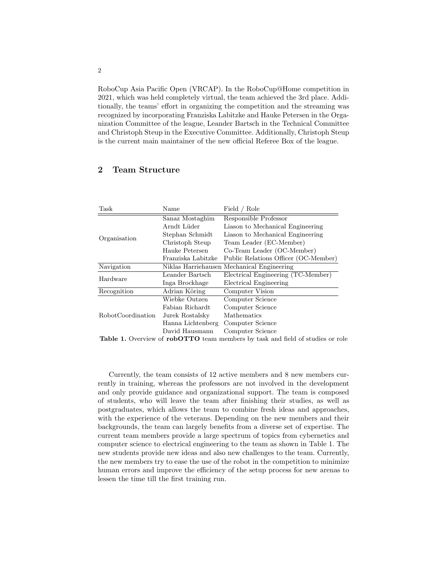RoboCup Asia Pacific Open (VRCAP). In the RoboCup@Home competition in 2021, which was held completely virtual, the team achieved the 3rd place. Additionally, the teams' effort in organizing the competition and the streaming was recognized by incorporating Franziska Labitzke and Hauke Petersen in the Organization Committee of the league, Leander Bartsch in the Technical Committee and Christoph Steup in the Executive Committee. Additionally, Christoph Steup is the current main maintainer of the new official Referee Box of the league.

#### Task Name Field / Role Organisation Sanaz Mostaghim Responsible Professor Arndt Lüder Liason to Mechanical Engineering Stephan Schmidt Liason to Mechanical Engineering Christoph Steup Team Leader (EC-Member) Hauke Petersen Co-Team Leader (OC-Member) Franziska Labitzke Public Relations Officer (OC-Member) Navigation Niklas Harriehausen Mechanical Engineering Hardware Leander Bartsch Electrical Engineering (TC-Member) Electrical Engineering Recognition Adrian Köring Computer Vision RobotCoordination Wiebke Outzen Computer Science Fabian Richardt Computer Science Jurek Rostalsky Mathematics Hanna Lichtenberg Computer Science David Hausmann Computer Science

#### 2 Team Structure

Table 1. Overview of robOTTO team members by task and field of studies or role

Currently, the team consists of 12 active members and 8 new members currently in training, whereas the professors are not involved in the development and only provide guidance and organizational support. The team is composed of students, who will leave the team after finishing their studies, as well as postgraduates, which allows the team to combine fresh ideas and approaches, with the experience of the veterans. Depending on the new members and their backgrounds, the team can largely benefits from a diverse set of expertise. The current team members provide a large spectrum of topics from cybernetics and computer science to electrical engineering to the team as shown in Table 1. The new students provide new ideas and also new challenges to the team. Currently, the new members try to ease the use of the robot in the competition to minimize human errors and improve the efficiency of the setup process for new arenas to lessen the time till the first training run.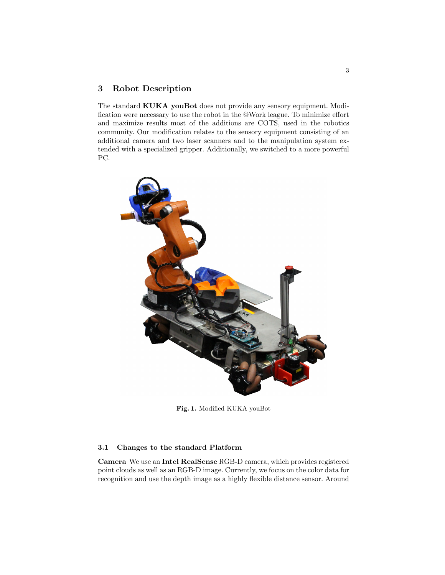## 3 Robot Description

The standard KUKA youBot does not provide any sensory equipment. Modification were necessary to use the robot in the @Work league. To minimize effort and maximize results most of the additions are COTS, used in the robotics community. Our modification relates to the sensory equipment consisting of an additional camera and two laser scanners and to the manipulation system extended with a specialized gripper. Additionally, we switched to a more powerful PC.



Fig. 1. Modified KUKA youBot

### 3.1 Changes to the standard Platform

Camera We use an Intel RealSense RGB-D camera, which provides registered point clouds as well as an RGB-D image. Currently, we focus on the color data for recognition and use the depth image as a highly flexible distance sensor. Around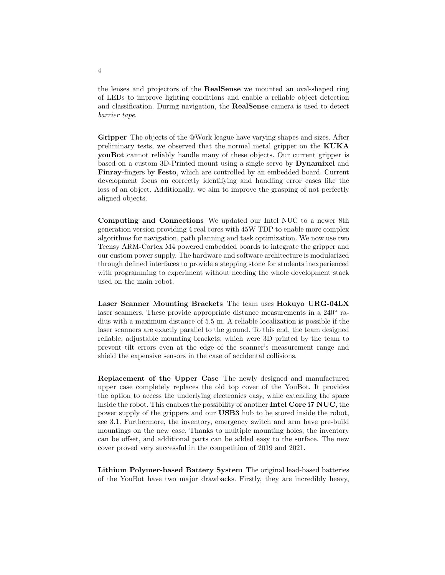the lenses and projectors of the RealSense we mounted an oval-shaped ring of LEDs to improve lighting conditions and enable a reliable object detection and classification. During navigation, the RealSense camera is used to detect barrier tape.

Gripper The objects of the @Work league have varying shapes and sizes. After preliminary tests, we observed that the normal metal gripper on the KUKA youBot cannot reliably handle many of these objects. Our current gripper is based on a custom 3D-Printed mount using a single servo by Dynamixel and Finray-fingers by Festo, which are controlled by an embedded board. Current development focus on correctly identifying and handling error cases like the loss of an object. Additionally, we aim to improve the grasping of not perfectly aligned objects.

Computing and Connections We updated our Intel NUC to a newer 8th generation version providing 4 real cores with 45W TDP to enable more complex algorithms for navigation, path planning and task optimization. We now use two Teensy ARM-Cortex M4 powered embedded boards to integrate the gripper and our custom power supply. The hardware and software architecture is modularized through defined interfaces to provide a stepping stone for students inexperienced with programming to experiment without needing the whole development stack used on the main robot.

Laser Scanner Mounting Brackets The team uses Hokuyo URG-04LX laser scanners. These provide appropriate distance measurements in a 240<sup>°</sup> radius with a maximum distance of 5.5 m. A reliable localization is possible if the laser scanners are exactly parallel to the ground. To this end, the team designed reliable, adjustable mounting brackets, which were 3D printed by the team to prevent tilt errors even at the edge of the scanner's measurement range and shield the expensive sensors in the case of accidental collisions.

Replacement of the Upper Case The newly designed and manufactured upper case completely replaces the old top cover of the YouBot. It provides the option to access the underlying electronics easy, while extending the space inside the robot. This enables the possibility of another Intel Core i7 NUC, the power supply of the grippers and our USB3 hub to be stored inside the robot, see 3.1. Furthermore, the inventory, emergency switch and arm have pre-build mountings on the new case. Thanks to multiple mounting holes, the inventory can be offset, and additional parts can be added easy to the surface. The new cover proved very successful in the competition of 2019 and 2021.

Lithium Polymer-based Battery System The original lead-based batteries of the YouBot have two major drawbacks. Firstly, they are incredibly heavy,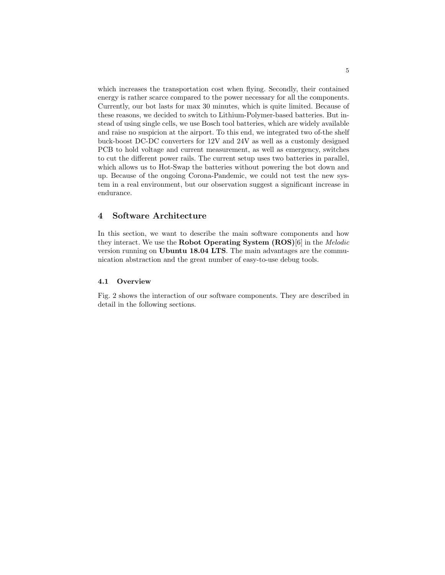which increases the transportation cost when flying. Secondly, their contained energy is rather scarce compared to the power necessary for all the components. Currently, our bot lasts for max 30 minutes, which is quite limited. Because of these reasons, we decided to switch to Lithium-Polymer-based batteries. But instead of using single cells, we use Bosch tool batteries, which are widely available and raise no suspicion at the airport. To this end, we integrated two of-the shelf buck-boost DC-DC converters for 12V and 24V as well as a customly designed PCB to hold voltage and current measurement, as well as emergency, switches to cut the different power rails. The current setup uses two batteries in parallel, which allows us to Hot-Swap the batteries without powering the bot down and up. Because of the ongoing Corona-Pandemic, we could not test the new system in a real environment, but our observation suggest a significant increase in endurance.

## 4 Software Architecture

In this section, we want to describe the main software components and how they interact. We use the Robot Operating System (ROS)[6] in the Melodic version running on Ubuntu 18.04 LTS. The main advantages are the communication abstraction and the great number of easy-to-use debug tools.

#### 4.1 Overview

Fig. 2 shows the interaction of our software components. They are described in detail in the following sections.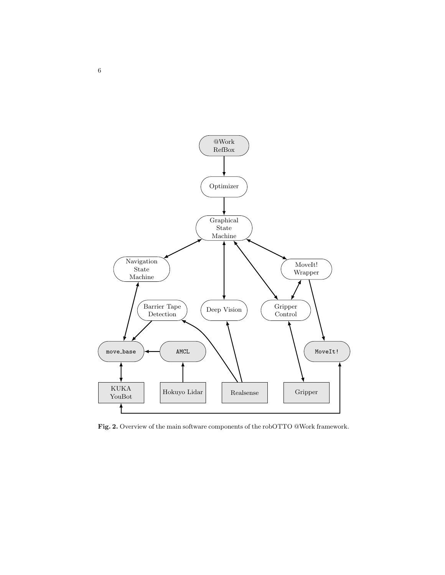

Fig. 2. Overview of the main software components of the robOTTO @Work framework.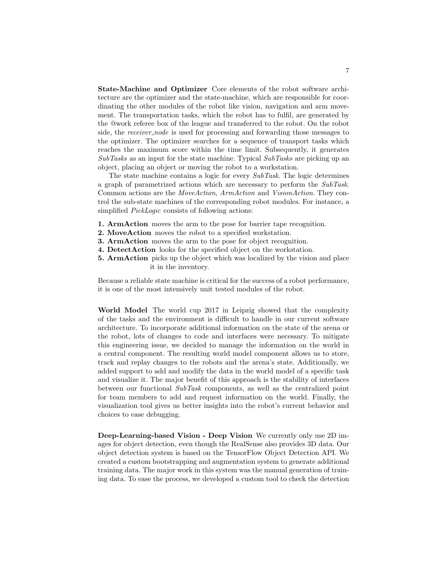State-Machine and Optimizer Core elements of the robot software architecture are the optimizer and the state-machine, which are responsible for coordinating the other modules of the robot like vision, navigation and arm movement. The transportation tasks, which the robot has to fulfil, are generated by the @work referee box of the league and transferred to the robot. On the robot side, the *receiver\_node* is used for processing and forwarding those messages to the optimizer. The optimizer searches for a sequence of transport tasks which reaches the maximum score within the time limit. Subsequently, it generates  $SubTask$  as an input for the state machine. Typical  $SubTask$  are picking up an object, placing an object or moving the robot to a workstation.

The state machine contains a logic for every SubTask. The logic determines a graph of parametrized actions which are necessary to perform the SubTask. Common actions are the MoveAction, ArmAction and VisionAction. They control the sub-state machines of the corresponding robot modules. For instance, a simplified *PickLogic* consists of following actions:

- 1. ArmAction moves the arm to the pose for barrier tape recognition.
- 2. MoveAction moves the robot to a specified workstation.
- 3. ArmAction moves the arm to the pose for object recognition.
- 4. DetectAction looks for the specified object on the workstation.
- 5. ArmAction picks up the object which was localized by the vision and place it in the inventory.

Because a reliable state machine is critical for the success of a robot performance, it is one of the most intensively unit tested modules of the robot.

World Model The world cup 2017 in Leipzig showed that the complexity of the tasks and the environment is difficult to handle in our current software architecture. To incorporate additional information on the state of the arena or the robot, lots of changes to code and interfaces were necessary. To mitigate this engineering issue, we decided to manage the information on the world in a central component. The resulting world model component allows us to store, track and replay changes to the robots and the arena's state. Additionally, we added support to add and modify the data in the world model of a specific task and visualize it. The major benefit of this approach is the stability of interfaces between our functional SubTask components, as well as the centralized point for team members to add and request information on the world. Finally, the visualization tool gives us better insights into the robot's current behavior and choices to ease debugging.

Deep-Learning-based Vision - Deep Vision We currently only use 2D images for object detection, even though the RealSense also provides 3D data. Our object detection system is based on the TensorFlow Object Detection API. We created a custom bootstrapping and augmentation system to generate additional training data. The major work in this system was the manual generation of training data. To ease the process, we developed a custom tool to check the detection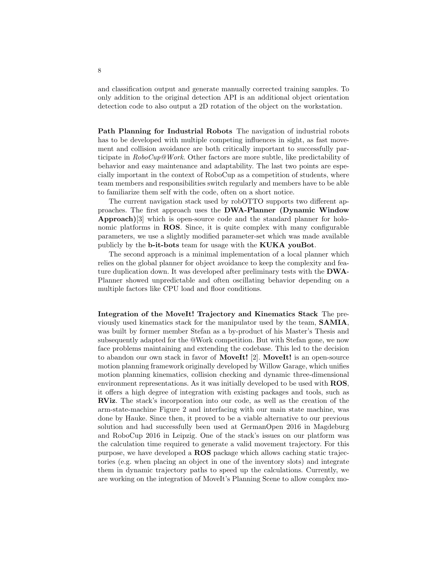and classification output and generate manually corrected training samples. To only addition to the original detection API is an additional object orientation detection code to also output a 2D rotation of the object on the workstation.

Path Planning for Industrial Robots The navigation of industrial robots has to be developed with multiple competing influences in sight, as fast movement and collision avoidance are both critically important to successfully participate in  $RoboCup@Work.$  Other factors are more subtle, like predictability of behavior and easy maintenance and adaptability. The last two points are especially important in the context of RoboCup as a competition of students, where team members and responsibilities switch regularly and members have to be able to familiarize them self with the code, often on a short notice.

The current navigation stack used by robOTTO supports two different approaches. The first approach uses the DWA-Planner (Dynamic Window Approach)[3] which is open-source code and the standard planner for holonomic platforms in ROS. Since, it is quite complex with many configurable parameters, we use a slightly modified parameter-set which was made available publicly by the b-it-bots team for usage with the KUKA youBot.

The second approach is a minimal implementation of a local planner which relies on the global planner for object avoidance to keep the complexity and feature duplication down. It was developed after preliminary tests with the DWA-Planner showed unpredictable and often oscillating behavior depending on a multiple factors like CPU load and floor conditions.

Integration of the MoveIt! Trajectory and Kinematics Stack The previously used kinematics stack for the manipulator used by the team, SAMIA, was built by former member Stefan as a by-product of his Master's Thesis and subsequently adapted for the @Work competition. But with Stefan gone, we now face problems maintaining and extending the codebase. This led to the decision to abandon our own stack in favor of **MoveIt!** [2]. **MoveIt!** is an open-source motion planning framework originally developed by Willow Garage, which unifies motion planning kinematics, collision checking and dynamic three-dimensional environment representations. As it was initially developed to be used with ROS, it offers a high degree of integration with existing packages and tools, such as RViz. The stack's incorporation into our code, as well as the creation of the arm-state-machine Figure 2 and interfacing with our main state machine, was done by Hauke. Since then, it proved to be a viable alternative to our previous solution and had successfully been used at GermanOpen 2016 in Magdeburg and RoboCup 2016 in Leipzig. One of the stack's issues on our platform was the calculation time required to generate a valid movement trajectory. For this purpose, we have developed a ROS package which allows caching static trajectories (e.g. when placing an object in one of the inventory slots) and integrate them in dynamic trajectory paths to speed up the calculations. Currently, we are working on the integration of MoveIt's Planning Scene to allow complex mo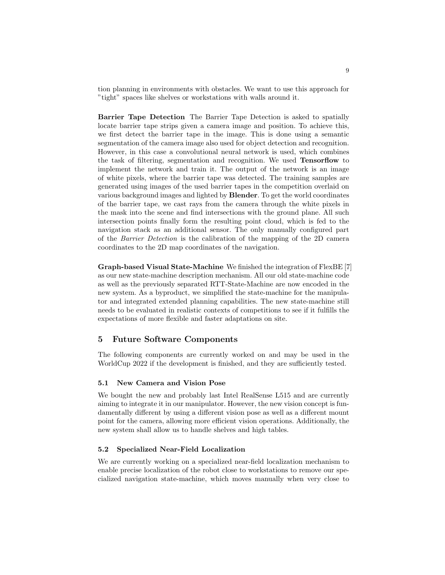tion planning in environments with obstacles. We want to use this approach for "tight" spaces like shelves or workstations with walls around it.

Barrier Tape Detection The Barrier Tape Detection is asked to spatially locate barrier tape strips given a camera image and position. To achieve this, we first detect the barrier tape in the image. This is done using a semantic segmentation of the camera image also used for object detection and recognition. However, in this case a convolutional neural network is used, which combines the task of filtering, segmentation and recognition. We used Tensorflow to implement the network and train it. The output of the network is an image of white pixels, where the barrier tape was detected. The training samples are generated using images of the used barrier tapes in the competition overlaid on various background images and lighted by Blender. To get the world coordinates of the barrier tape, we cast rays from the camera through the white pixels in the mask into the scene and find intersections with the ground plane. All such intersection points finally form the resulting point cloud, which is fed to the navigation stack as an additional sensor. The only manually configured part of the Barrier Detection is the calibration of the mapping of the 2D camera coordinates to the 2D map coordinates of the navigation.

Graph-based Visual State-Machine We finished the integration of FlexBE [7] as our new state-machine description mechanism. All our old state-machine code as well as the previously separated RTT-State-Machine are now encoded in the new system. As a byproduct, we simplified the state-machine for the manipulator and integrated extended planning capabilities. The new state-machine still needs to be evaluated in realistic contexts of competitions to see if it fulfills the expectations of more flexible and faster adaptations on site.

## 5 Future Software Components

The following components are currently worked on and may be used in the WorldCup 2022 if the development is finished, and they are sufficiently tested.

#### 5.1 New Camera and Vision Pose

We bought the new and probably last Intel RealSense L515 and are currently aiming to integrate it in our manipulator. However, the new vision concept is fundamentally different by using a different vision pose as well as a different mount point for the camera, allowing more efficient vision operations. Additionally, the new system shall allow us to handle shelves and high tables.

#### 5.2 Specialized Near-Field Localization

We are currently working on a specialized near-field localization mechanism to enable precise localization of the robot close to workstations to remove our specialized navigation state-machine, which moves manually when very close to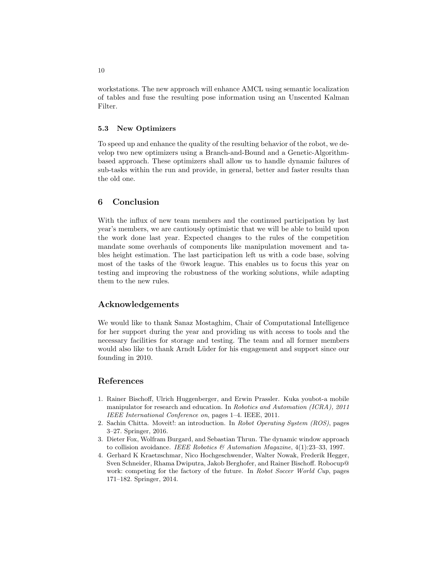workstations. The new approach will enhance AMCL using semantic localization of tables and fuse the resulting pose information using an Unscented Kalman Filter.

#### 5.3 New Optimizers

To speed up and enhance the quality of the resulting behavior of the robot, we develop two new optimizers using a Branch-and-Bound and a Genetic-Algorithmbased approach. These optimizers shall allow us to handle dynamic failures of sub-tasks within the run and provide, in general, better and faster results than the old one.

### 6 Conclusion

With the influx of new team members and the continued participation by last year's members, we are cautiously optimistic that we will be able to build upon the work done last year. Expected changes to the rules of the competition mandate some overhauls of components like manipulation movement and tables height estimation. The last participation left us with a code base, solving most of the tasks of the @work league. This enables us to focus this year on testing and improving the robustness of the working solutions, while adapting them to the new rules.

### Acknowledgements

We would like to thank Sanaz Mostaghim, Chair of Computational Intelligence for her support during the year and providing us with access to tools and the necessary facilities for storage and testing. The team and all former members would also like to thank Arndt Lüder for his engagement and support since our founding in 2010.

## References

- 1. Rainer Bischoff, Ulrich Huggenberger, and Erwin Prassler. Kuka youbot-a mobile manipulator for research and education. In Robotics and Automation (ICRA), 2011 IEEE International Conference on, pages 1–4. IEEE, 2011.
- 2. Sachin Chitta. Moveit!: an introduction. In Robot Operating System (ROS), pages 3–27. Springer, 2016.
- 3. Dieter Fox, Wolfram Burgard, and Sebastian Thrun. The dynamic window approach to collision avoidance. IEEE Robotics  $\mathcal{B}$  Automation Magazine, 4(1):23-33, 1997.
- 4. Gerhard K Kraetzschmar, Nico Hochgeschwender, Walter Nowak, Frederik Hegger, Sven Schneider, Rhama Dwiputra, Jakob Berghofer, and Rainer Bischoff. Robocup@ work: competing for the factory of the future. In Robot Soccer World Cup, pages 171–182. Springer, 2014.